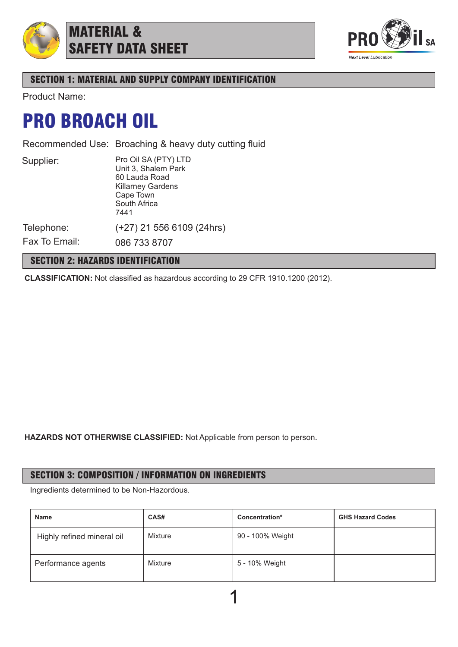

## MATERIAL & SAFETY DATA SHEET



## SECTION 1: MATERIAL AND SUPPLY COMPANY IDENTIFICATION

Product Name:

## PRO BROACH OIL

Recommended Use: Broaching & heavy duty cutting fluid

Supplier:

Pro Oil SA (PTY) LTD Unit 3, Shalem Park 60 Lauda Road Killarney Gardens Cape Town South Africa 7441 (+27) 21 556 6109 (24hrs)

Telephone: Fax To Email:

086 733 8707

## SECTION 2: HAZARDS IDENTIFICATION

**CLASSIFICATION:** Not classified as hazardous according to 29 CFR 1910.1200 (2012).

**HAZARDS NOT OTHERWISE CLASSIFIED:** Not Applicable from person to person.

## SECTION 3: COMPOSITION / INFORMATION ON INGREDIENTS

Ingredients determined to be Non-Hazordous.

| <b>Name</b>                | CAS#    | Concentration*   | <b>GHS Hazard Codes</b> |
|----------------------------|---------|------------------|-------------------------|
| Highly refined mineral oil | Mixture | 90 - 100% Weight |                         |
| Performance agents         | Mixture | 5 - 10% Weight   |                         |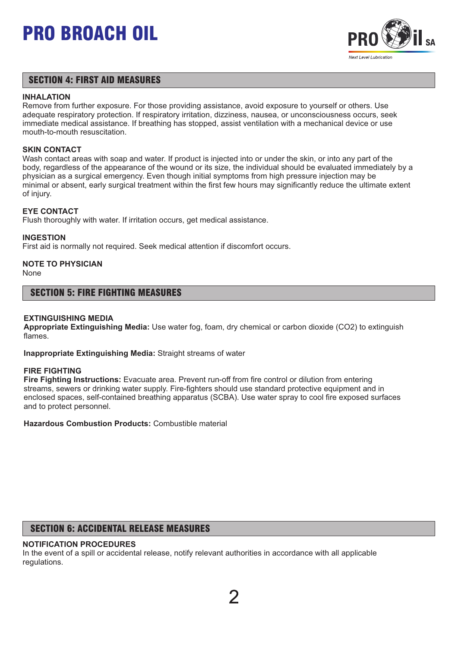

### SECTION 4: FIRST AID MEASURES

#### **INHALATION**

Remove from further exposure. For those providing assistance, avoid exposure to yourself or others. Use adequate respiratory protection. If respiratory irritation, dizziness, nausea, or unconsciousness occurs, seek immediate medical assistance. If breathing has stopped, assist ventilation with a mechanical device or use mouth-to-mouth resuscitation.

#### **SKIN CONTACT**

Wash contact areas with soap and water. If product is injected into or under the skin, or into any part of the body, regardless of the appearance of the wound or its size, the individual should be evaluated immediately by a physician as a surgical emergency. Even though initial symptoms from high pressure injection may be minimal or absent, early surgical treatment within the first few hours may significantly reduce the ultimate extent of injury.

#### **EYE CONTACT**

Flush thoroughly with water. If irritation occurs, get medical assistance.

#### **INGESTION**

First aid is normally not required. Seek medical attention if discomfort occurs.

## **NOTE TO PHYSICIAN**

None

#### SECTION 5: FIRE FIGHTING MEASURES

#### **EXTINGUISHING MEDIA**

**Appropriate Extinguishing Media:** Use water fog, foam, dry chemical or carbon dioxide (CO2) to extinguish flames.

**Inappropriate Extinguishing Media:** Straight streams of water

#### **FIRE FIGHTING**

**Fire Fighting Instructions:** Evacuate area. Prevent run-off from fire control or dilution from entering streams, sewers or drinking water supply. Fire-fighters should use standard protective equipment and in enclosed spaces, self-contained breathing apparatus (SCBA). Use water spray to cool fire exposed surfaces and to protect personnel.

**Hazardous Combustion Products:** Combustible material

## SECTION 6: ACCIDENTAL RELEASE MEASURES

#### **NOTIFICATION PROCEDURES**

In the event of a spill or accidental release, notify relevant authorities in accordance with all applicable regulations.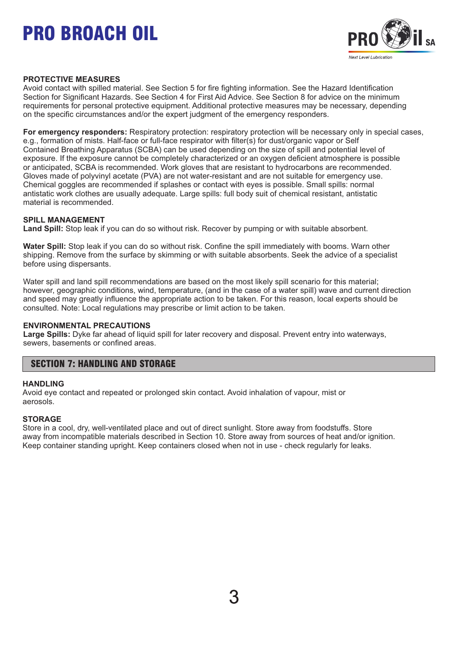

#### **PROTECTIVE MEASURES**

Avoid contact with spilled material. See Section 5 for fire fighting information. See the Hazard Identification Section for Significant Hazards. See Section 4 for First Aid Advice. See Section 8 for advice on the minimum requirements for personal protective equipment. Additional protective measures may be necessary, depending on the specific circumstances and/or the expert judgment of the emergency responders.

**For emergency responders:** Respiratory protection: respiratory protection will be necessary only in special cases, e.g., formation of mists. Half-face or full-face respirator with filter(s) for dust/organic vapor or Self Contained Breathing Apparatus (SCBA) can be used depending on the size of spill and potential level of exposure. If the exposure cannot be completely characterized or an oxygen deficient atmosphere is possible or anticipated, SCBA is recommended. Work gloves that are resistant to hydrocarbons are recommended. Gloves made of polyvinyl acetate (PVA) are not water-resistant and are not suitable for emergency use. Chemical goggles are recommended if splashes or contact with eyes is possible. Small spills: normal antistatic work clothes are usually adequate. Large spills: full body suit of chemical resistant, antistatic material is recommended.

#### **SPILL MANAGEMENT**

**Land Spill:** Stop leak if you can do so without risk. Recover by pumping or with suitable absorbent.

**Water Spill:** Stop leak if you can do so without risk. Confine the spill immediately with booms. Warn other shipping. Remove from the surface by skimming or with suitable absorbents. Seek the advice of a specialist before using dispersants.

Water spill and land spill recommendations are based on the most likely spill scenario for this material; however, geographic conditions, wind, temperature, (and in the case of a water spill) wave and current direction and speed may greatly influence the appropriate action to be taken. For this reason, local experts should be consulted. Note: Local regulations may prescribe or limit action to be taken.

#### **ENVIRONMENTAL PRECAUTIONS**

**Large Spills:** Dyke far ahead of liquid spill for later recovery and disposal. Prevent entry into waterways, sewers, basements or confined areas.

### SECTION 7: HANDLING AND STORAGE

#### **HANDLING**

Avoid eye contact and repeated or prolonged skin contact. Avoid inhalation of vapour, mist or aerosols.

#### **STORAGE**

Store in a cool, dry, well-ventilated place and out of direct sunlight. Store away from foodstuffs. Store away from incompatible materials described in Section 10. Store away from sources of heat and/or ignition. Keep container standing upright. Keep containers closed when not in use - check regularly for leaks.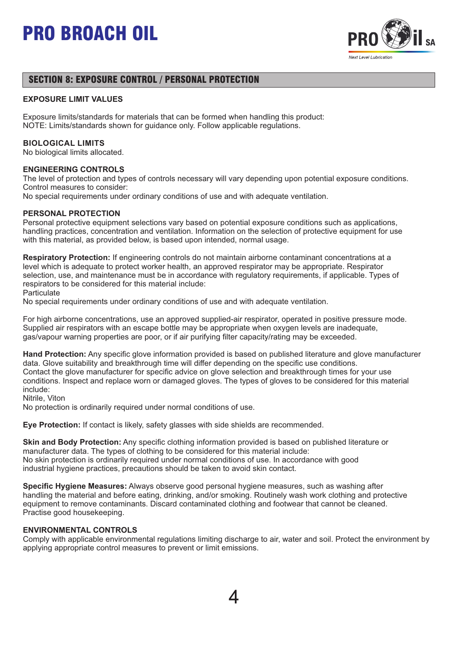

## SECTION 8: EXPOSURE CONTROL / PERSONAL PROTECTION

#### **EXPOSURE LIMIT VALUES**

Exposure limits/standards for materials that can be formed when handling this product: NOTE: Limits/standards shown for guidance only. Follow applicable regulations.

#### **BIOLOGICAL LIMITS**

No biological limits allocated.

#### **ENGINEERING CONTROLS**

The level of protection and types of controls necessary will vary depending upon potential exposure conditions. Control measures to consider:

No special requirements under ordinary conditions of use and with adequate ventilation.

#### **PERSONAL PROTECTION**

Personal protective equipment selections vary based on potential exposure conditions such as applications, handling practices, concentration and ventilation. Information on the selection of protective equipment for use with this material, as provided below, is based upon intended, normal usage.

**Respiratory Protection:** If engineering controls do not maintain airborne contaminant concentrations at a level which is adequate to protect worker health, an approved respirator may be appropriate. Respirator selection, use, and maintenance must be in accordance with regulatory requirements, if applicable. Types of respirators to be considered for this material include:

**Particulate** 

No special requirements under ordinary conditions of use and with adequate ventilation.

For high airborne concentrations, use an approved supplied-air respirator, operated in positive pressure mode. Supplied air respirators with an escape bottle may be appropriate when oxygen levels are inadequate, gas/vapour warning properties are poor, or if air purifying filter capacity/rating may be exceeded.

**Hand Protection:** Any specific glove information provided is based on published literature and glove manufacturer data. Glove suitability and breakthrough time will differ depending on the specific use conditions. Contact the glove manufacturer for specific advice on glove selection and breakthrough times for your use conditions. Inspect and replace worn or damaged gloves. The types of gloves to be considered for this material include:

Nitrile, Viton

No protection is ordinarily required under normal conditions of use.

**Eye Protection:** If contact is likely, safety glasses with side shields are recommended.

**Skin and Body Protection:** Any specific clothing information provided is based on published literature or manufacturer data. The types of clothing to be considered for this material include: No skin protection is ordinarily required under normal conditions of use. In accordance with good industrial hygiene practices, precautions should be taken to avoid skin contact.

**Specific Hygiene Measures:** Always observe good personal hygiene measures, such as washing after handling the material and before eating, drinking, and/or smoking. Routinely wash work clothing and protective equipment to remove contaminants. Discard contaminated clothing and footwear that cannot be cleaned. Practise good housekeeping.

#### **ENVIRONMENTAL CONTROLS**

Comply with applicable environmental regulations limiting discharge to air, water and soil. Protect the environment by applying appropriate control measures to prevent or limit emissions.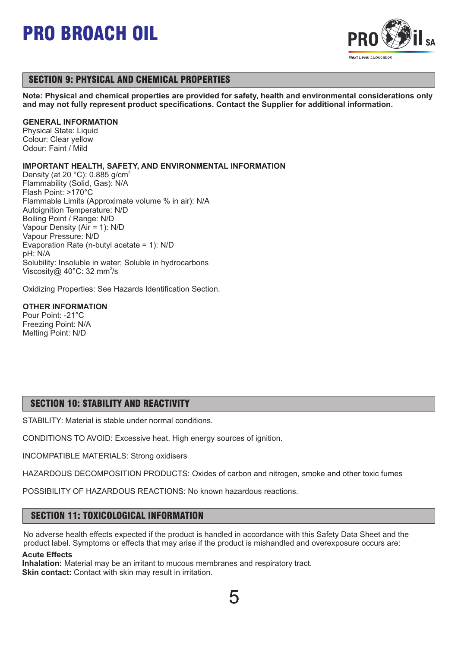

## SECTION 9: PHYSICAL AND CHEMICAL PROPERTIES

**Note: Physical and chemical properties are provided for safety, health and environmental considerations only and may not fully represent product specifications. Contact the Supplier for additional information.**

#### **GENERAL INFORMATION**

Physical State: Liquid Colour: Clear yellow Odour: Faint / Mild

#### **IMPORTANT HEALTH, SAFETY, AND ENVIRONMENTAL INFORMATION**

Density (at 20  $^{\circ}$ C): 0.885 g/cm<sup>3</sup> Flammability (Solid, Gas): N/A Flash Point: >170°C Flammable Limits (Approximate volume % in air): N/A Autoignition Temperature: N/D Boiling Point / Range: N/D Vapour Density (Air = 1): N/D Vapour Pressure: N/D Evaporation Rate (n-butyl acetate = 1): N/D pH: N/A Solubility: Insoluble in water; Soluble in hydrocarbons Viscosity@ 40 $^{\circ}$ C: 32 mm<sup>2</sup>/s

Oxidizing Properties: See Hazards Identification Section.

#### **OTHER INFORMATION**

Pour Point: -21°C Freezing Point: N/A Melting Point: N/D

### SECTION 10: STABILITY AND REACTIVITY

STABILITY: Material is stable under normal conditions.

CONDITIONS TO AVOID: Excessive heat. High energy sources of ignition.

INCOMPATIBLE MATERIALS: Strong oxidisers

HAZARDOUS DECOMPOSITION PRODUCTS: Oxides of carbon and nitrogen, smoke and other toxic fumes

POSSIBILITY OF HAZARDOUS REACTIONS: No known hazardous reactions.

### SECTION 11: TOXICOLOGICAL INFORMATION

No adverse health effects expected if the product is handled in accordance with this Safety Data Sheet and the product label. Symptoms or effects that may arise if the product is mishandled and overexposure occurs are:

#### **Acute Effects**

**Inhalation:** Material may be an irritant to mucous membranes and respiratory tract. **Skin contact:** Contact with skin may result in irritation.

5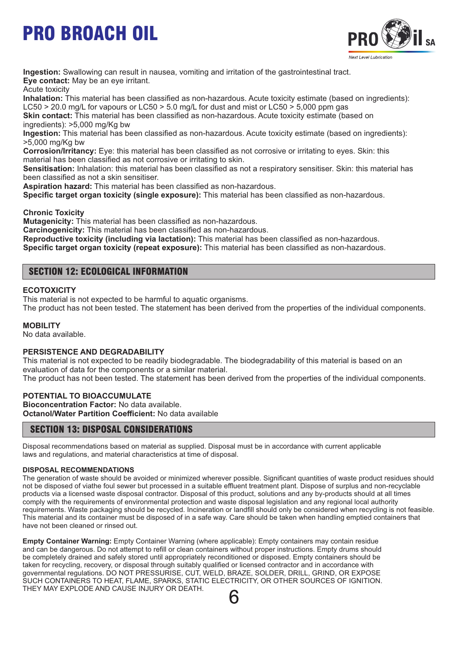

**Ingestion:** Swallowing can result in nausea, vomiting and irritation of the gastrointestinal tract. **Eye contact:** May be an eye irritant.

Acute toxicity

**Inhalation:** This material has been classified as non-hazardous. Acute toxicity estimate (based on ingredients): LC50  $>$  20.0 mg/L for vapours or LC50  $>$  5.0 mg/L for dust and mist or LC50  $>$  5,000 ppm gas

**Skin contact:** This material has been classified as non-hazardous. Acute toxicity estimate (based on ingredients): >5,000 mg/Kg bw

**Ingestion:** This material has been classified as non-hazardous. Acute toxicity estimate (based on ingredients): >5,000 mg/Kg bw

**Corrosion/Irritancy:** Eye: this material has been classified as not corrosive or irritating to eyes. Skin: this material has been classified as not corrosive or irritating to skin.

**Sensitisation:** Inhalation: this material has been classified as not a respiratory sensitiser. Skin: this material has been classified as not a skin sensitiser.

**Aspiration hazard:** This material has been classified as non-hazardous.

**Specific target organ toxicity (single exposure):** This material has been classified as non-hazardous.

**Chronic Toxicity**

**Mutagenicity:** This material has been classified as non-hazardous.

**Carcinogenicity:** This material has been classified as non-hazardous.

**Reproductive toxicity (including via lactation):** This material has been classified as non-hazardous.

**Specific target organ toxicity (repeat exposure):** This material has been classified as non-hazardous.

## SECTION 12: ECOLOGICAL INFORMATION

#### **ECOTOXICITY**

This material is not expected to be harmful to aquatic organisms.

The product has not been tested. The statement has been derived from the properties of the individual components.

#### **MOBILITY**

No data available.

#### **PERSISTENCE AND DEGRADABILITY**

This material is not expected to be readily biodegradable. The biodegradability of this material is based on an evaluation of data for the components or a similar material.

The product has not been tested. The statement has been derived from the properties of the individual components.

#### **POTENTIAL TO BIOACCUMULATE**

**Bioconcentration Factor:** No data available. **Octanol/Water Partition Coefficient:** No data available

#### SECTION 13: DISPOSAL CONSIDERATIONS

Disposal recommendations based on material as supplied. Disposal must be in accordance with current applicable laws and regulations, and material characteristics at time of disposal.

#### **DISPOSAL RECOMMENDATIONS**

The generation of waste should be avoided or minimized wherever possible. Significant quantities of waste product residues should not be disposed of viathe foul sewer but processed in a suitable effluent treatment plant. Dispose of surplus and non-recyclable products via a licensed waste disposal contractor. Disposal of this product, solutions and any by-products should at all times comply with the requirements of environmental protection and waste disposal legislation and any regional local authority requirements. Waste packaging should be recycled. Incineration or landfill should only be considered when recycling is not feasible. This material and its container must be disposed of in a safe way. Care should be taken when handling emptied containers that have not been cleaned or rinsed out.

**Empty Container Warning:** Empty Container Warning (where applicable): Empty containers may contain residue and can be dangerous. Do not attempt to refill or clean containers without proper instructions. Empty drums should be completely drained and safely stored until appropriately reconditioned or disposed. Empty containers should be taken for recycling, recovery, or disposal through suitably qualified or licensed contractor and in accordance with governmental regulations. DO NOT PRESSURISE, CUT, WELD, BRAZE, SOLDER, DRILL, GRIND, OR EXPOSE SUCH CONTAINERS TO HEAT, FLAME, SPARKS, STATIC ELECTRICITY, OR OTHER SOURCES OF IGNITION. THEY MAY EXPLODE AND CAUSE INJURY OR DEATH.